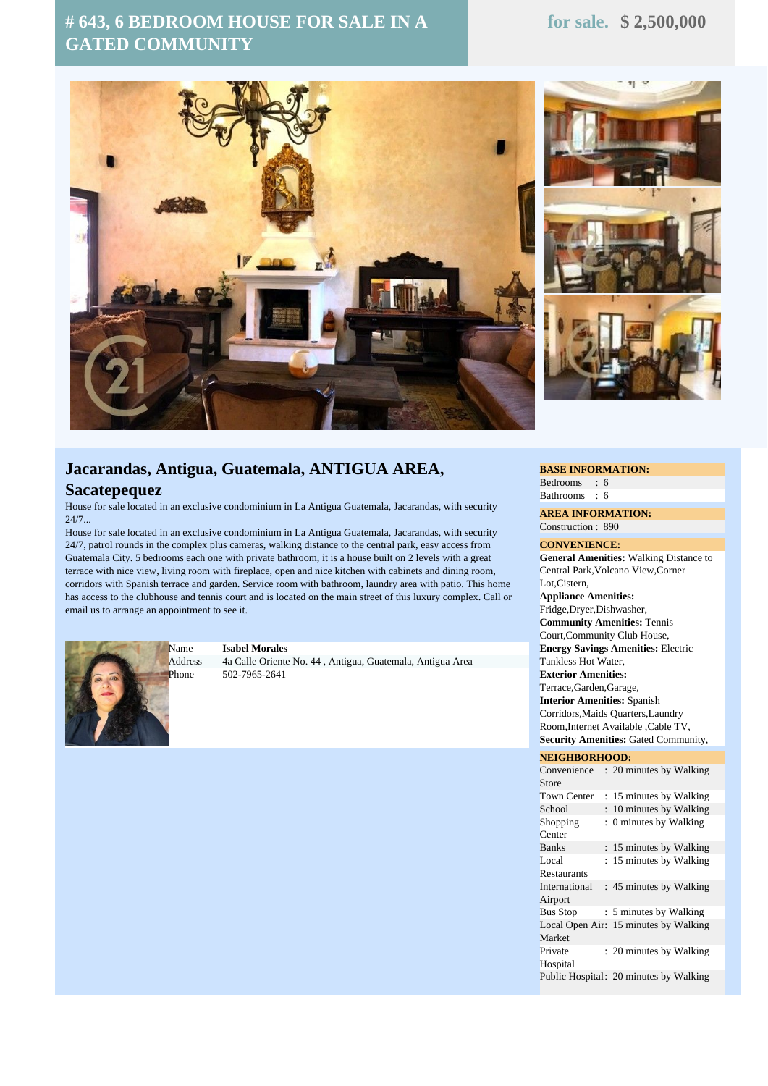# **# 643, 6 BEDROOM HOUSE FOR SALE IN A GATED COMMUNITY**





# **Jacarandas, Antigua, Guatemala, ANTIGUA AREA, Sacatepequez**

House for sale located in an exclusive condominium in La Antigua Guatemala, Jacarandas, with security  $24/7.$ 

House for sale located in an exclusive condominium in La Antigua Guatemala, Jacarandas, with security 24/7, patrol rounds in the complex plus cameras, walking distance to the central park, easy access from Guatemala City. 5 bedrooms each one with private bathroom, it is a house built on 2 levels with a great terrace with nice view, living room with fireplace, open and nice kitchen with cabinets and dining room, corridors with Spanish terrace and garden. Service room with bathroom, laundry area with patio. This home has access to the clubhouse and tennis court and is located on the main street of this luxury complex. Call or email us to arrange an appointment to see it.



### Name **Isabel Morales**

Address 4a Calle Oriente No. 44 , Antigua, Guatemala, Antigua Area Phone 502-7965-2641

#### **BASE INFORMATION:**

Bedrooms : 6 Bathrooms : 6

**AREA INFORMATION:** Construction : 890

#### **CONVENIENCE:**

**General Amenities:** Walking Distance to Central Park,Volcano View,Corner Lot,Cistern,

**Appliance Amenities:** Fridge,Dryer,Dishwasher, **Community Amenities:** Tennis Court,Community Club House, **Energy Savings Amenities:** Electric Tankless Hot Water, **Exterior Amenities:** Terrace,Garden,Garage, **Interior Amenities:** Spanish Corridors,Maids Quarters,Laundry Room,Internet Available ,Cable TV, **Security Amenities:** Gated Community,

## **NEIGHBORHOOD:**

| Convenience        |    | : 20 minutes by Walking                |
|--------------------|----|----------------------------------------|
| Store              |    |                                        |
| <b>Town Center</b> |    | : 15 minutes by Walking                |
| School             | ÷  | 10 minutes by Walking                  |
| Shopping           | ÷. | 0 minutes by Walking                   |
| Center             |    |                                        |
| <b>Banks</b>       |    | : 15 minutes by Walking                |
| Local              | ÷. | 15 minutes by Walking                  |
| Restaurants        |    |                                        |
| International      |    | : 45 minutes by Walking                |
| Airport            |    |                                        |
| <b>Bus Stop</b>    |    | : 5 minutes by Walking                 |
|                    |    | Local Open Air: 15 minutes by Walking  |
| Market             |    |                                        |
| Private            |    | : 20 minutes by Walking                |
| Hospital           |    |                                        |
|                    |    | Public Hospital: 20 minutes by Walking |
|                    |    |                                        |